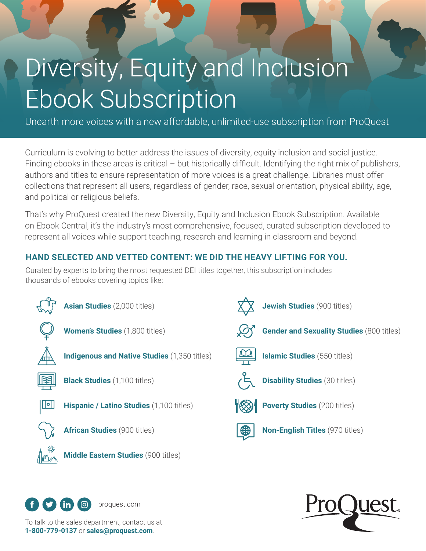# Diversity, Equity and Inclusion Ebook Subscription

Unearth more voices with a new affordable, unlimited-use subscription from ProQuest

Curriculum is evolving to better address the issues of diversity, equity inclusion and social justice. Finding ebooks in these areas is critical – but historically difficult. Identifying the right mix of publishers, authors and titles to ensure representation of more voices is a great challenge. Libraries must offer collections that represent all users, regardless of gender, race, sexual orientation, physical ability, age, and political or religious beliefs.

That's why ProQuest created the new Diversity, Equity and Inclusion Ebook Subscription. Available on Ebook Central, it's the industry's most comprehensive, focused, curated subscription developed to represent all voices while support teaching, research and learning in classroom and beyond.

### **HAND SELECTED AND VETTED CONTENT: WE DID THE HEAVY LIFTING FOR YOU.**

Curated by experts to bring the most requested DEI titles together, this subscription includes thousands of ebooks covering topics like:





To talk to the sales department, contact us at **1-800-779-0137** or **sales@proquest.com**.